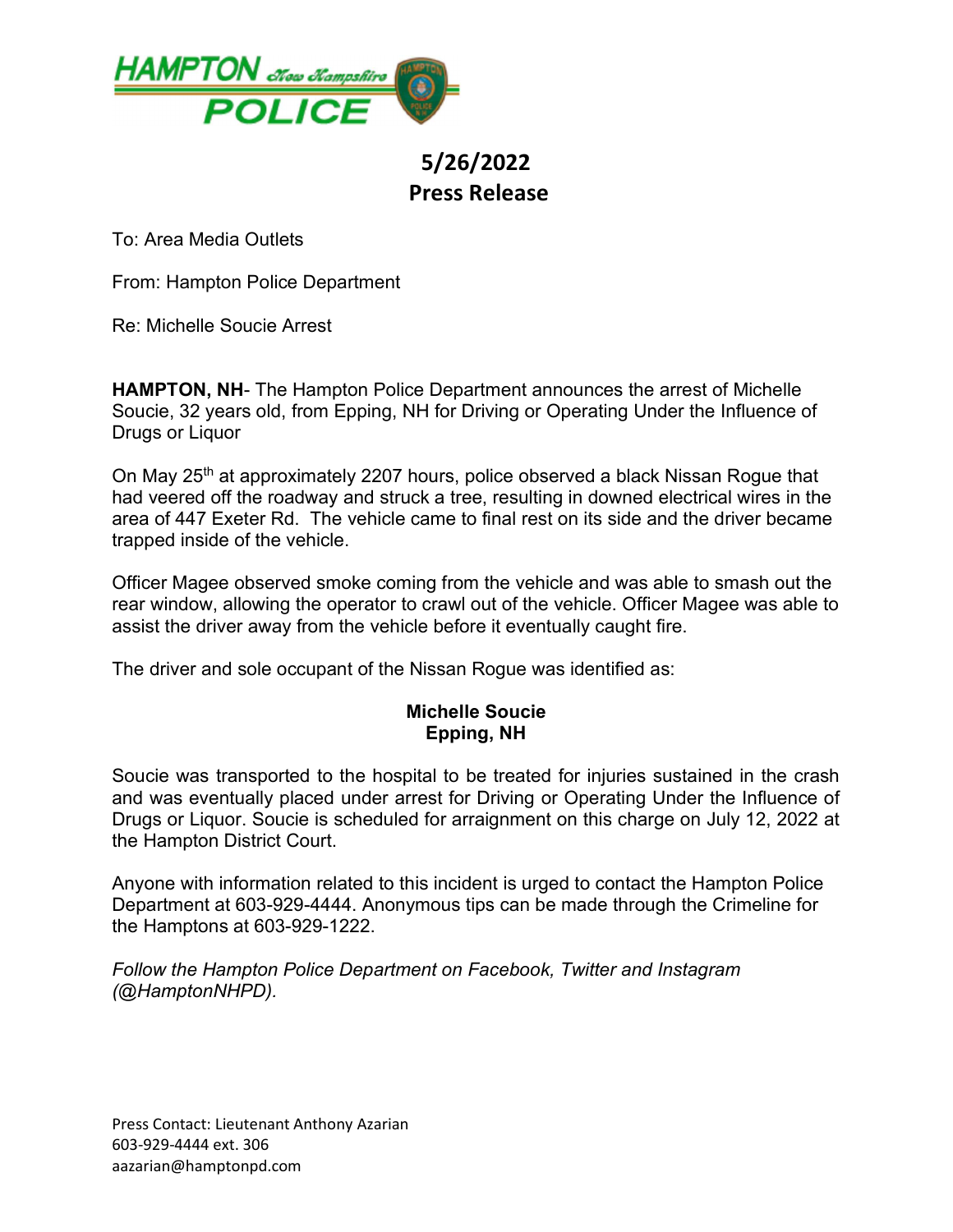

## 5/26/2022 Press Release

To: Area Media Outlets

From: Hampton Police Department

Re: Michelle Soucie Arrest

HAMPTON, NH- The Hampton Police Department announces the arrest of Michelle Soucie, 32 years old, from Epping, NH for Driving or Operating Under the Influence of Drugs or Liquor

On May 25<sup>th</sup> at approximately 2207 hours, police observed a black Nissan Rogue that had veered off the roadway and struck a tree, resulting in downed electrical wires in the area of 447 Exeter Rd. The vehicle came to final rest on its side and the driver became trapped inside of the vehicle.

Officer Magee observed smoke coming from the vehicle and was able to smash out the rear window, allowing the operator to crawl out of the vehicle. Officer Magee was able to assist the driver away from the vehicle before it eventually caught fire.

The driver and sole occupant of the Nissan Rogue was identified as:

## Michelle Soucie Epping, NH

Soucie was transported to the hospital to be treated for injuries sustained in the crash and was eventually placed under arrest for Driving or Operating Under the Influence of Drugs or Liquor. Soucie is scheduled for arraignment on this charge on July 12, 2022 at the Hampton District Court.

Anyone with information related to this incident is urged to contact the Hampton Police Department at 603-929-4444. Anonymous tips can be made through the Crimeline for the Hamptons at 603-929-1222.

Follow the Hampton Police Department on Facebook, Twitter and Instagram (@HamptonNHPD).

Press Contact: Lieutenant Anthony Azarian 603-929-4444 ext. 306 aazarian@hamptonpd.com